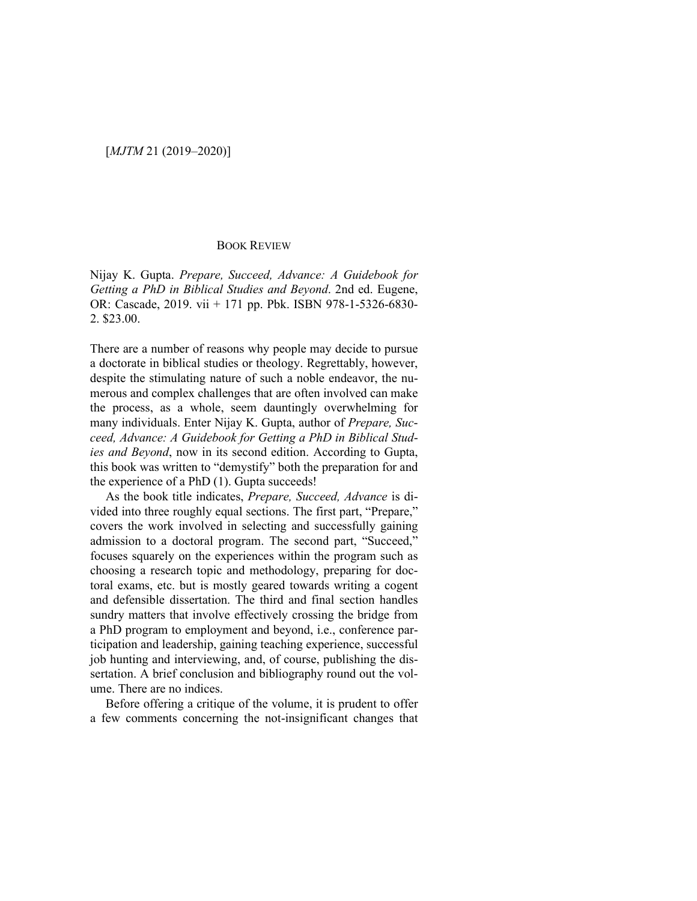## [*MJTM* 21 (2019–2020)]

## BOOK REVIEW

Nijay K. Gupta. *Prepare, Succeed, Advance: A Guidebook for Getting a PhD in Biblical Studies and Beyond*. 2nd ed. Eugene, OR: Cascade, 2019. vii + 171 pp. Pbk. ISBN 978-1-5326-6830- 2. \$23.00.

There are a number of reasons why people may decide to pursue a doctorate in biblical studies or theology. Regrettably, however, despite the stimulating nature of such a noble endeavor, the numerous and complex challenges that are often involved can make the process, as a whole, seem dauntingly overwhelming for many individuals. Enter Nijay K. Gupta, author of *Prepare, Succeed, Advance: A Guidebook for Getting a PhD in Biblical Studies and Beyond*, now in its second edition. According to Gupta, this book was written to "demystify" both the preparation for and the experience of a PhD (1). Gupta succeeds!

As the book title indicates, *Prepare, Succeed, Advance* is divided into three roughly equal sections. The first part, "Prepare," covers the work involved in selecting and successfully gaining admission to a doctoral program. The second part, "Succeed," focuses squarely on the experiences within the program such as choosing a research topic and methodology, preparing for doctoral exams, etc. but is mostly geared towards writing a cogent and defensible dissertation. The third and final section handles sundry matters that involve effectively crossing the bridge from a PhD program to employment and beyond, i.e., conference participation and leadership, gaining teaching experience, successful job hunting and interviewing, and, of course, publishing the dissertation. A brief conclusion and bibliography round out the volume. There are no indices.

Before offering a critique of the volume, it is prudent to offer a few comments concerning the not-insignificant changes that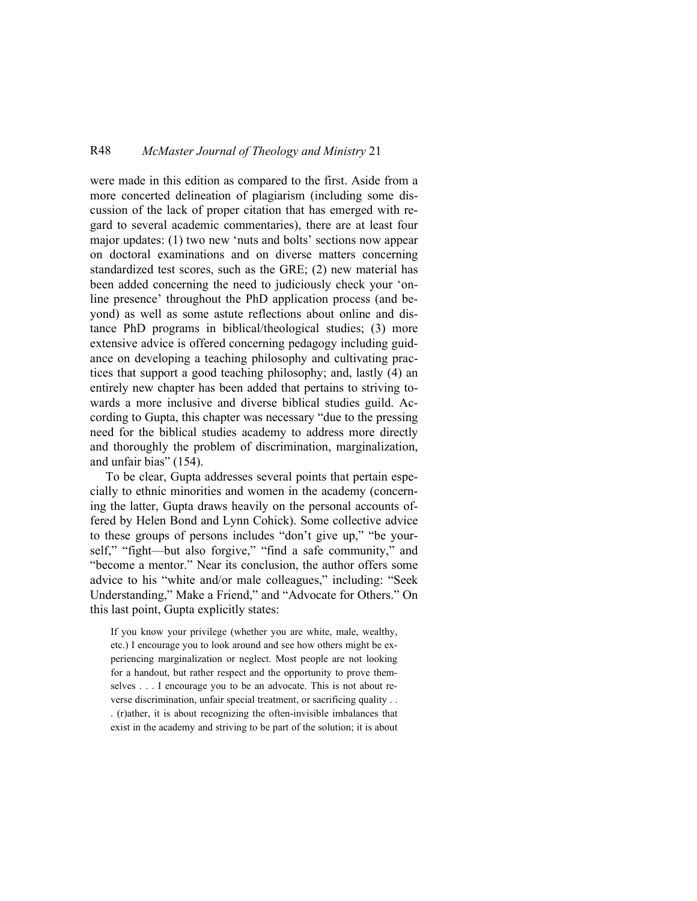## R48 *McMaster Journal of Theology and Ministry* 21

were made in this edition as compared to the first. Aside from a more concerted delineation of plagiarism (including some discussion of the lack of proper citation that has emerged with regard to several academic commentaries), there are at least four major updates: (1) two new 'nuts and bolts' sections now appear on doctoral examinations and on diverse matters concerning standardized test scores, such as the GRE; (2) new material has been added concerning the need to judiciously check your 'online presence' throughout the PhD application process (and beyond) as well as some astute reflections about online and distance PhD programs in biblical/theological studies; (3) more extensive advice is offered concerning pedagogy including guidance on developing a teaching philosophy and cultivating practices that support a good teaching philosophy; and, lastly (4) an entirely new chapter has been added that pertains to striving towards a more inclusive and diverse biblical studies guild. According to Gupta, this chapter was necessary "due to the pressing need for the biblical studies academy to address more directly and thoroughly the problem of discrimination, marginalization, and unfair bias" (154).

To be clear, Gupta addresses several points that pertain especially to ethnic minorities and women in the academy (concerning the latter, Gupta draws heavily on the personal accounts offered by Helen Bond and Lynn Cohick). Some collective advice to these groups of persons includes "don't give up," "be yourself," "fight—but also forgive," "find a safe community," and "become a mentor." Near its conclusion, the author offers some advice to his "white and/or male colleagues," including: "Seek Understanding," Make a Friend," and "Advocate for Others." On this last point, Gupta explicitly states:

If you know your privilege (whether you are white, male, wealthy, etc.) I encourage you to look around and see how others might be experiencing marginalization or neglect. Most people are not looking for a handout, but rather respect and the opportunity to prove themselves . . . I encourage you to be an advocate. This is not about reverse discrimination, unfair special treatment, or sacrificing quality . . . (r)ather, it is about recognizing the often-invisible imbalances that exist in the academy and striving to be part of the solution; it is about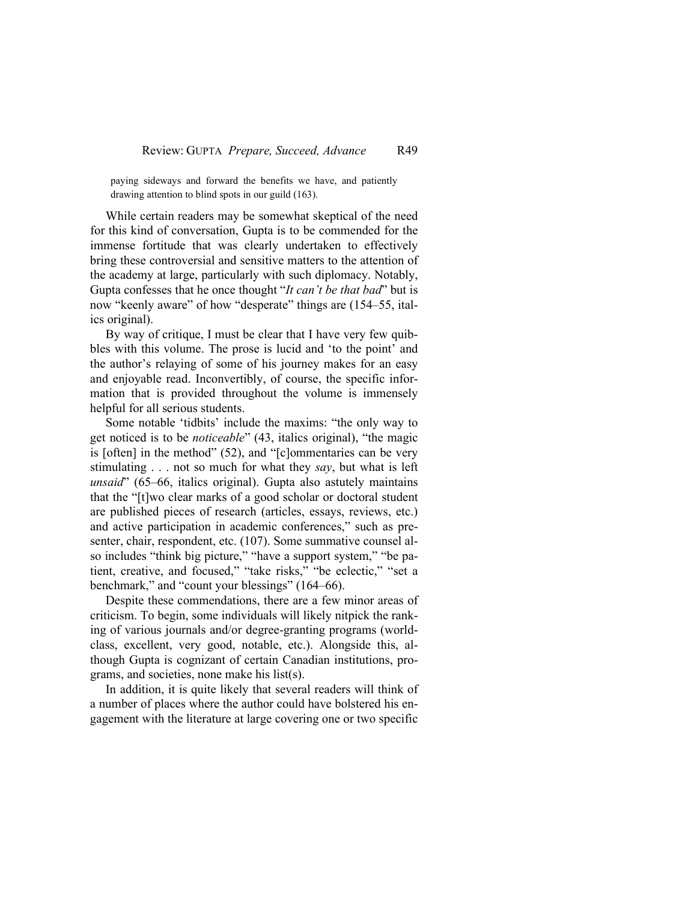paying sideways and forward the benefits we have, and patiently drawing attention to blind spots in our guild (163).

While certain readers may be somewhat skeptical of the need for this kind of conversation, Gupta is to be commended for the immense fortitude that was clearly undertaken to effectively bring these controversial and sensitive matters to the attention of the academy at large, particularly with such diplomacy. Notably, Gupta confesses that he once thought "*It can't be that bad*" but is now "keenly aware" of how "desperate" things are (154–55, italics original).

By way of critique, I must be clear that I have very few quibbles with this volume. The prose is lucid and 'to the point' and the author's relaying of some of his journey makes for an easy and enjoyable read. Inconvertibly, of course, the specific information that is provided throughout the volume is immensely helpful for all serious students.

Some notable 'tidbits' include the maxims: "the only way to get noticed is to be *noticeable*" (43, italics original), "the magic is [often] in the method" (52), and "[c]ommentaries can be very stimulating . . . not so much for what they *say*, but what is left *unsaid*" (65–66, italics original). Gupta also astutely maintains that the "[t]wo clear marks of a good scholar or doctoral student are published pieces of research (articles, essays, reviews, etc.) and active participation in academic conferences," such as presenter, chair, respondent, etc. (107). Some summative counsel also includes "think big picture," "have a support system," "be patient, creative, and focused," "take risks," "be eclectic," "set a benchmark," and "count your blessings" (164–66).

Despite these commendations, there are a few minor areas of criticism. To begin, some individuals will likely nitpick the ranking of various journals and/or degree-granting programs (worldclass, excellent, very good, notable, etc.). Alongside this, although Gupta is cognizant of certain Canadian institutions, programs, and societies, none make his list(s).

In addition, it is quite likely that several readers will think of a number of places where the author could have bolstered his engagement with the literature at large covering one or two specific